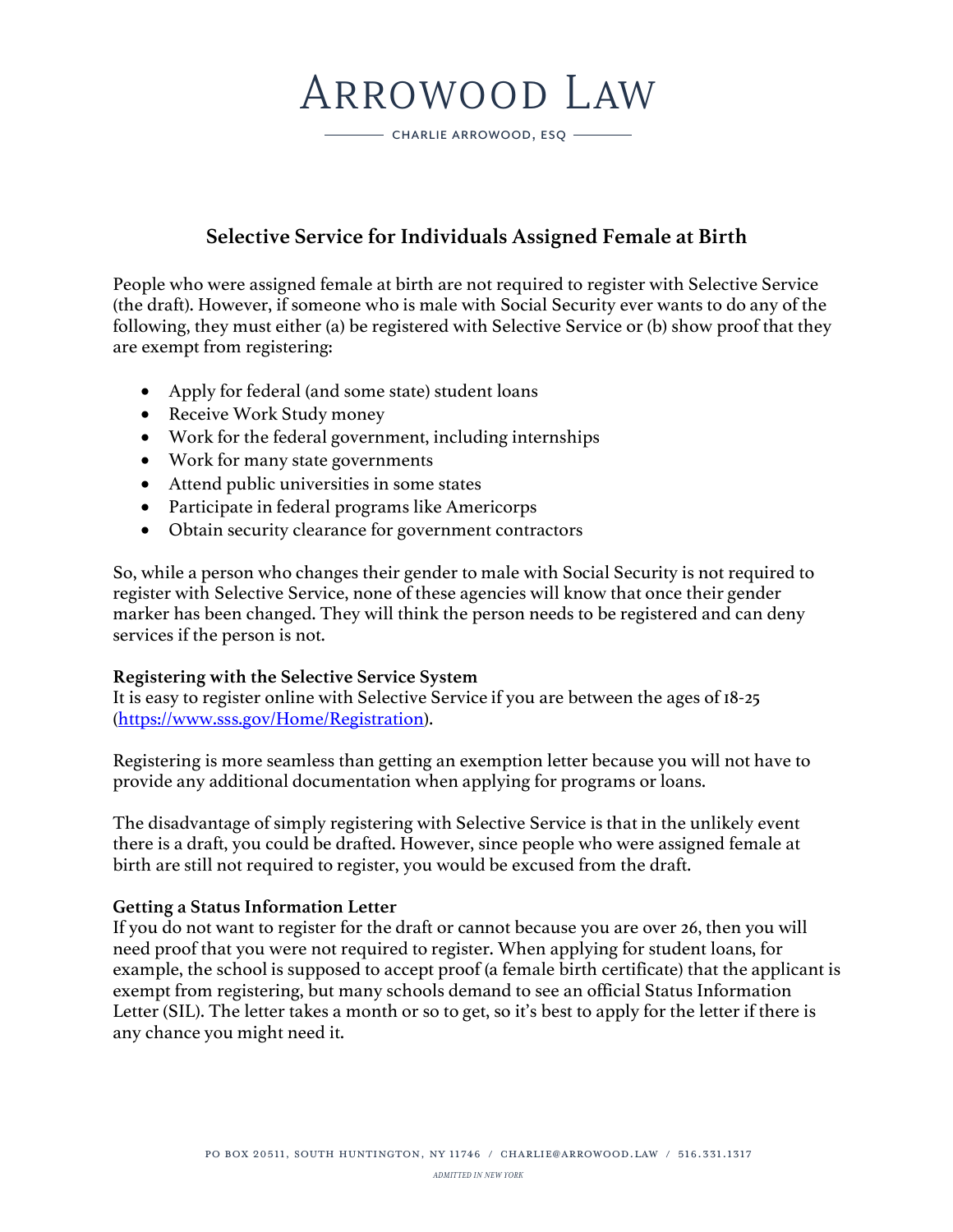# ARROWOOD LAW

CHARLIE ARROWOOD, ESQ -

### **Selective Service for Individuals Assigned Female at Birth**

People who were assigned female at birth are not required to register with Selective Service (the draft). However, if someone who is male with Social Security ever wants to do any of the following, they must either (a) be registered with Selective Service or (b) show proof that they are exempt from registering:

- Apply for federal (and some state) student loans
- Receive Work Study money
- Work for the federal government, including internships
- Work for many state governments
- Attend public universities in some states
- Participate in federal programs like Americorps
- Obtain security clearance for government contractors

So, while a person who changes their gender to male with Social Security is not required to register with Selective Service, none of these agencies will know that once their gender marker has been changed. They will think the person needs to be registered and can deny services if the person is not.

#### **Registering with the Selective Service System**

It is easy to register online with Selective Service if you are between the ages of 18-25 (https://www.sss.gov/Home/Registration).

Registering is more seamless than getting an exemption letter because you will not have to provide any additional documentation when applying for programs or loans.

The disadvantage of simply registering with Selective Service is that in the unlikely event there is a draft, you could be drafted. However, since people who were assigned female at birth are still not required to register, you would be excused from the draft.

#### **Getting a Status Information Letter**

If you do not want to register for the draft or cannot because you are over 26, then you will need proof that you were not required to register. When applying for student loans, for example, the school is supposed to accept proof (a female birth certificate) that the applicant is exempt from registering, but many schools demand to see an official Status Information Letter (SIL). The letter takes a month or so to get, so it's best to apply for the letter if there is any chance you might need it.